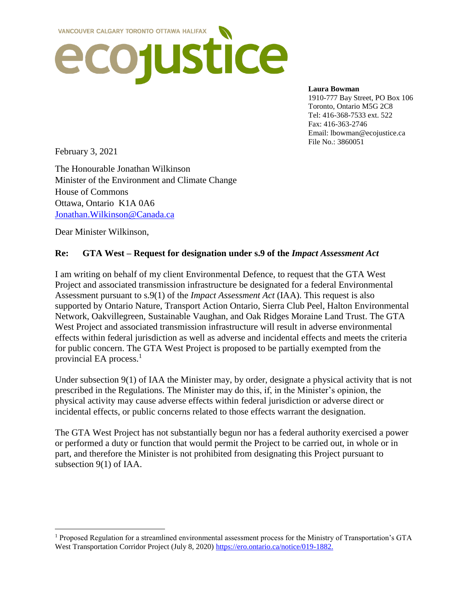

#### **Laura Bowman**

1910-777 Bay Street, PO Box 106 Toronto, Ontario M5G 2C8 Tel: 416-368-7533 ext. 522 Fax: 416-363-2746 Email: lbowman@ecojustice.ca File No.: 3860051

February 3, 2021

 $\overline{\phantom{a}}$ 

The Honourable Jonathan Wilkinson Minister of the Environment and Climate Change House of Commons Ottawa, Ontario K1A 0A6 [Jonathan.Wilkinson@Canada.ca](mailto:Jonathan.Wilkinson@Canada.ca) 

Dear Minister Wilkinson,

#### **Re: GTA West – Request for designation under s.9 of the** *Impact Assessment Act*

I am writing on behalf of my client Environmental Defence, to request that the GTA West Project and associated transmission infrastructure be designated for a federal Environmental Assessment pursuant to s.9(1) of the *Impact Assessment Act* (IAA). This request is also supported by Ontario Nature, Transport Action Ontario, Sierra Club Peel, Halton Environmental Network, Oakvillegreen, Sustainable Vaughan, and Oak Ridges Moraine Land Trust. The GTA West Project and associated transmission infrastructure will result in adverse environmental effects within federal jurisdiction as well as adverse and incidental effects and meets the criteria for public concern. The GTA West Project is proposed to be partially exempted from the provincial EA process. $<sup>1</sup>$ </sup>

Under subsection 9(1) of IAA the Minister may, by order, designate a physical activity that is not prescribed in the Regulations. The Minister may do this, if, in the Minister's opinion, the physical activity may cause adverse effects within federal jurisdiction or adverse direct or incidental effects, or public concerns related to those effects warrant the designation.

The GTA West Project has not substantially begun nor has a federal authority exercised a power or performed a duty or function that would permit the Project to be carried out, in whole or in part, and therefore the Minister is not prohibited from designating this Project pursuant to subsection 9(1) of IAA.

 $1$  Proposed Regulation for a streamlined environmental assessment process for the Ministry of Transportation's GTA West Transportation Corridor Project (July 8, 2020) [https://ero.ontario.ca/notice/019-1882.](https://ero.ontario.ca/notice/019-1882)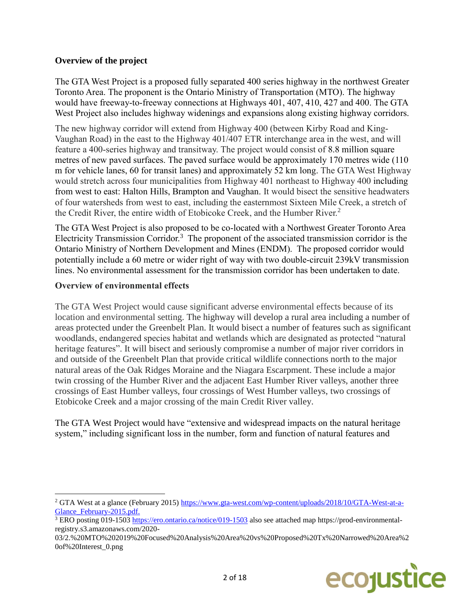# **Overview of the project**

The GTA West Project is a proposed fully separated 400 series highway in the northwest Greater Toronto Area. The proponent is the Ontario Ministry of Transportation (MTO). The highway would have freeway-to-freeway connections at Highways 401, 407, 410, 427 and 400. The GTA West Project also includes highway widenings and expansions along existing highway corridors.

The new highway corridor will extend from Highway 400 (between Kirby Road and King-Vaughan Road) in the east to the Highway 401/407 ETR interchange area in the west, and will feature a 400-series highway and transitway. The project would consist of 8.8 million square metres of new paved surfaces. The paved surface would be approximately 170 metres wide (110 m for vehicle lanes, 60 for transit lanes) and approximately 52 km long. The GTA West Highway would stretch across four municipalities from Highway 401 northeast to Highway 400 including from west to east: Halton Hills, Brampton and Vaughan. It would bisect the sensitive headwaters of four watersheds from west to east, including the easternmost Sixteen Mile Creek, a stretch of the Credit River, the entire width of Etobicoke Creek, and the Humber River.<sup>2</sup>

The GTA West Project is also proposed to be co-located with a Northwest Greater Toronto Area Electricity Transmission Corridor.<sup>3</sup> The proponent of the associated transmission corridor is the Ontario Ministry of Northern Development and Mines (ENDM). The proposed corridor would potentially include a 60 metre or wider right of way with two double-circuit 239kV transmission lines. No environmental assessment for the transmission corridor has been undertaken to date.

## **Overview of environmental effects**

l

The GTA West Project would cause significant adverse environmental effects because of its location and environmental setting. The highway will develop a rural area including a number of areas protected under the Greenbelt Plan. It would bisect a number of features such as significant woodlands, endangered species habitat and wetlands which are designated as protected "natural heritage features". It will bisect and seriously compromise a number of major river corridors in and outside of the Greenbelt Plan that provide critical wildlife connections north to the major natural areas of the Oak Ridges Moraine and the Niagara Escarpment. These include a major twin crossing of the Humber River and the adjacent East Humber River valleys, another three crossings of East Humber valleys, four crossings of West Humber valleys, two crossings of Etobicoke Creek and a major crossing of the main Credit River valley.

The GTA West Project would have "extensive and widespread impacts on the natural heritage system," including significant loss in the number, form and function of natural features and

<sup>03/2.%20</sup>MTO%202019%20Focused%20Analysis%20Area%20vs%20Proposed%20Tx%20Narrowed%20Area%2 0of%20Interest\_0.png



<sup>2</sup> GTA West at a glance (February 2015) [https://www.gta-west.com/wp-content/uploads/2018/10/GTA-West-at-a-](https://www.gta-west.com/wp-content/uploads/2018/10/GTA-West-at-a-Glance_February-2015.pdf)Glance February-2015.pdf.

<sup>3</sup> ERO posting 019-1503<https://ero.ontario.ca/notice/019-1503> also see attached map https://prod-environmentalregistry.s3.amazonaws.com/2020-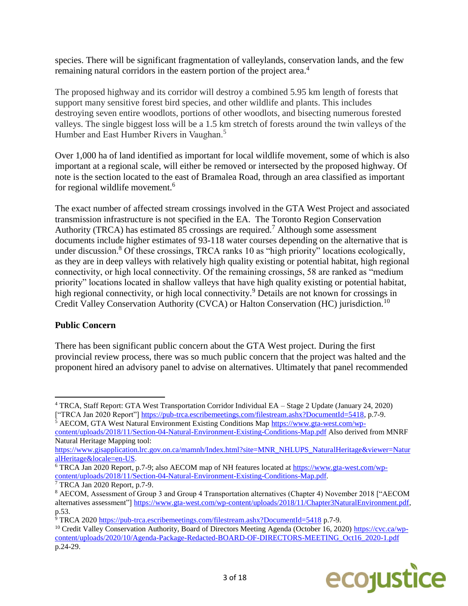species. There will be significant fragmentation of valleylands, conservation lands, and the few remaining natural corridors in the eastern portion of the project area.<sup>4</sup>

The proposed highway and its corridor will destroy a combined 5.95 km length of forests that support many sensitive forest bird species, and other wildlife and plants. This includes destroying seven entire woodlots, portions of other woodlots, and bisecting numerous forested valleys. The single biggest loss will be a 1.5 km stretch of forests around the twin valleys of the Humber and East Humber Rivers in Vaughan.<sup>5</sup>

Over 1,000 ha of land identified as important for local wildlife movement, some of which is also important at a regional scale, will either be removed or intersected by the proposed highway. Of note is the section located to the east of Bramalea Road, through an area classified as important for regional wildlife movement.<sup>6</sup>

The exact number of affected stream crossings involved in the GTA West Project and associated transmission infrastructure is not specified in the EA. The Toronto Region Conservation Authority (TRCA) has estimated 85 crossings are required.<sup>7</sup> Although some assessment documents include higher estimates of 93-118 water courses depending on the alternative that is under discussion.<sup>8</sup> Of these crossings, TRCA ranks 10 as "high priority" locations ecologically, as they are in deep valleys with relatively high quality existing or potential habitat, high regional connectivity, or high local connectivity. Of the remaining crossings, 58 are ranked as "medium priority" locations located in shallow valleys that have high quality existing or potential habitat, high regional connectivity, or high local connectivity.<sup>9</sup> Details are not known for crossings in Credit Valley Conservation Authority (CVCA) or Halton Conservation (HC) jurisdiction.<sup>10</sup>

## **Public Concern**

There has been significant public concern about the GTA West project. During the first provincial review process, there was so much public concern that the project was halted and the proponent hired an advisory panel to advise on alternatives. Ultimately that panel recommended

<sup>5</sup> AECOM, GTA West Natural Environment Existing Conditions Map [https://www.gta-west.com/wp-](https://www.gta-west.com/wp-content/uploads/2018/11/Section-04-Natural-Environment-Existing-Conditions-Map.pdf)

[content/uploads/2018/11/Section-04-Natural-Environment-Existing-Conditions-Map.pdf](https://www.gta-west.com/wp-content/uploads/2018/11/Section-04-Natural-Environment-Existing-Conditions-Map.pdf) Also derived from MNRF Natural Heritage Mapping tool:

<sup>&</sup>lt;sup>10</sup> Credit Valley Conservation Authority, Board of Directors Meeting Agenda (October 16, 2020) [https://cvc.ca/wp](https://cvc.ca/wp-content/uploads/2020/10/Agenda-Package-Redacted-BOARD-OF-DIRECTORS-MEETING_Oct16_2020-1.pdf)[content/uploads/2020/10/Agenda-Package-Redacted-BOARD-OF-DIRECTORS-MEETING\\_Oct16\\_2020-1.pdf](https://cvc.ca/wp-content/uploads/2020/10/Agenda-Package-Redacted-BOARD-OF-DIRECTORS-MEETING_Oct16_2020-1.pdf)  p.24-29.



 $\overline{\phantom{a}}$ <sup>4</sup> TRCA, Staff Report: GTA West Transportation Corridor Individual EA – Stage 2 Update (January 24, 2020) ["TRCA Jan 2020 Report"[\] https://pub-trca.escribemeetings.com/filestream.ashx?DocumentId=5418,](https://pub-trca.escribemeetings.com/filestream.ashx?DocumentId=5418) p.7-9.

[https://www.gisapplication.lrc.gov.on.ca/mamnh/Index.html?site=MNR\\_NHLUPS\\_NaturalHeritage&viewer=Natur](https://www.gisapplication.lrc.gov.on.ca/mamnh/Index.html?site=MNR_NHLUPS_NaturalHeritage&viewer=NaturalHeritage&locale=en-US) [alHeritage&locale=en-US.](https://www.gisapplication.lrc.gov.on.ca/mamnh/Index.html?site=MNR_NHLUPS_NaturalHeritage&viewer=NaturalHeritage&locale=en-US)

<sup>&</sup>lt;sup>6</sup> TRCA Jan 2020 Report, p.7-9; also AECOM map of NH features located at [https://www.gta-west.com/wp](https://www.gta-west.com/wp-content/uploads/2018/11/Section-04-Natural-Environment-Existing-Conditions-Map.pdf)[content/uploads/2018/11/Section-04-Natural-Environment-Existing-Conditions-Map.pdf.](https://www.gta-west.com/wp-content/uploads/2018/11/Section-04-Natural-Environment-Existing-Conditions-Map.pdf)

 $\sqrt{7}$  TRCA Jan 2020 Report, p.7-9.

<sup>8</sup> AECOM, Assessment of Group 3 and Group 4 Transportation alternatives (Chapter 4) November 2018 ["AECOM alternatives assessment"] [https://www.gta-west.com/wp-content/uploads/2018/11/Chapter3NaturalEnvironment.pdf,](https://www.gta-west.com/wp-content/uploads/2018/11/Chapter3NaturalEnvironment.pdf) p.53.

 $\frac{1}{9}$  TRCA 2020<https://pub-trca.escribemeetings.com/filestream.ashx?DocumentId=5418> p.7-9.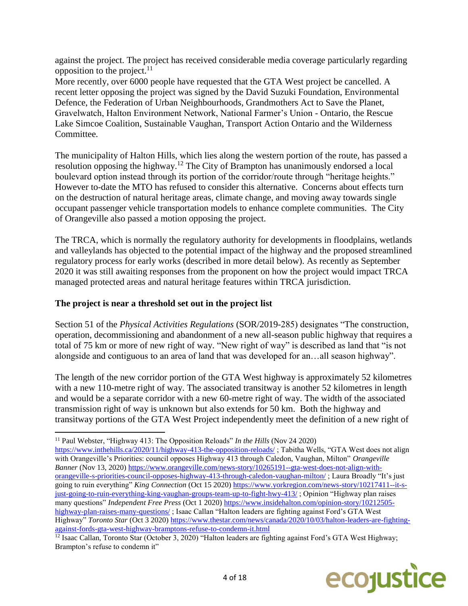against the project. The project has received considerable media coverage particularly regarding opposition to the project. $^{11}$ 

More recently, over 6000 people have requested that the GTA West project be cancelled. A recent letter opposing the project was signed by the David Suzuki Foundation, Environmental Defence, the Federation of Urban Neighbourhoods, Grandmothers Act to Save the Planet, Gravelwatch, Halton Environment Network, National Farmer's Union - Ontario, the Rescue Lake Simcoe Coalition, Sustainable Vaughan, Transport Action Ontario and the Wilderness Committee.

The municipality of Halton Hills, which lies along the western portion of the route, has passed a resolution opposing the highway.<sup>12</sup> The City of Brampton has unanimously endorsed a local boulevard option instead through its portion of the corridor/route through "heritage heights." However to-date the MTO has refused to consider this alternative. Concerns about effects turn on the destruction of natural heritage areas, climate change, and moving away towards single occupant passenger vehicle transportation models to enhance complete communities. The City of Orangeville also passed a motion opposing the project.

The TRCA, which is normally the regulatory authority for developments in floodplains, wetlands and valleylands has objected to the potential impact of the highway and the proposed streamlined regulatory process for early works (described in more detail below). As recently as September 2020 it was still awaiting responses from the proponent on how the project would impact TRCA managed protected areas and natural heritage features within TRCA jurisdiction.

# **The project is near a threshold set out in the project list**

 $\overline{\phantom{a}}$ 

Section 51 of the *Physical Activities Regulations* (SOR/2019-285) designates "The construction, operation, decommissioning and abandonment of a new all-season public highway that requires a total of 75 km or more of new right of way. "New right of way" is described as land that "is not alongside and contiguous to an area of land that was developed for an…all season highway".

The length of the new corridor portion of the GTA West highway is approximately 52 kilometres with a new 110-metre right of way. The associated transitway is another 52 kilometres in length and would be a separate corridor with a new 60-metre right of way. The width of the associated transmission right of way is unknown but also extends for 50 km. Both the highway and transitway portions of the GTA West Project independently meet the definition of a new right of

 $\frac{12}{12}$  Isaac Callan, Toronto Star (October 3, 2020) "Halton leaders are fighting against Ford's GTA West Highway; Brampton's refuse to condemn it"



<sup>11</sup> Paul Webster, "Highway 413: The Opposition Reloads" *In the Hills* (Nov 24 2020) <https://www.inthehills.ca/2020/11/highway-413-the-opposition-reloads/> ; Tabitha Wells, "GTA West does not align with Orangeville's Priorities: council opposes Highway 413 through Caledon, Vaughan, Milton" *Orangeville Banner* (Nov 13, 2020) [https://www.orangeville.com/news-story/10265191--gta-west-does-not-align-with](https://www.orangeville.com/news-story/10265191--gta-west-does-not-align-with-orangeville-s-priorities-council-opposes-highway-413-through-caledon-vaughan-milton/)[orangeville-s-priorities-council-opposes-highway-413-through-caledon-vaughan-milton/](https://www.orangeville.com/news-story/10265191--gta-west-does-not-align-with-orangeville-s-priorities-council-opposes-highway-413-through-caledon-vaughan-milton/) ; Laura Broadly "It's just going to ruin everything" *King Connection* (Oct 15 2020) [https://www.yorkregion.com/news-story/10217411--it-s](https://www.yorkregion.com/news-story/10217411--it-s-just-going-to-ruin-everything-king-vaughan-groups-team-up-to-fight-hwy-413/)[just-going-to-ruin-everything-king-vaughan-groups-team-up-to-fight-hwy-413/](https://www.yorkregion.com/news-story/10217411--it-s-just-going-to-ruin-everything-king-vaughan-groups-team-up-to-fight-hwy-413/) ; Opinion "Highway plan raises many questions" *Independent Free Press* (Oct 1 2020) [https://www.insidehalton.com/opinion-story/10212505](https://www.insidehalton.com/opinion-story/10212505-highway-plan-raises-many-questions/) [highway-plan-raises-many-questions/](https://www.insidehalton.com/opinion-story/10212505-highway-plan-raises-many-questions/) ; Isaac Callan "Halton leaders are fighting against Ford's GTA West Highway" *Toronto Star* (Oct 3 2020) [https://www.thestar.com/news/canada/2020/10/03/halton-leaders-are-fighting](https://www.thestar.com/news/canada/2020/10/03/halton-leaders-are-fighting-against-fords-gta-west-highway-bramptons-refuse-to-condemn-it.html)[against-fords-gta-west-highway-bramptons-refuse-to-condemn-it.html](https://www.thestar.com/news/canada/2020/10/03/halton-leaders-are-fighting-against-fords-gta-west-highway-bramptons-refuse-to-condemn-it.html)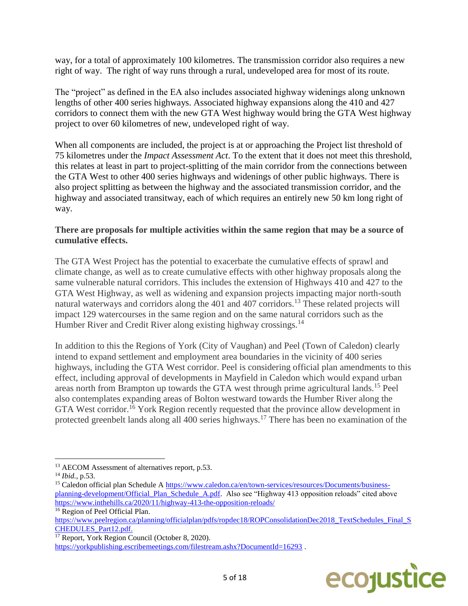way, for a total of approximately 100 kilometres. The transmission corridor also requires a new right of way. The right of way runs through a rural, undeveloped area for most of its route.

The "project" as defined in the EA also includes associated highway widenings along unknown lengths of other 400 series highways. Associated highway expansions along the 410 and 427 corridors to connect them with the new GTA West highway would bring the GTA West highway project to over 60 kilometres of new, undeveloped right of way.

When all components are included, the project is at or approaching the Project list threshold of 75 kilometres under the *Impact Assessment Act*. To the extent that it does not meet this threshold, this relates at least in part to project-splitting of the main corridor from the connections between the GTA West to other 400 series highways and widenings of other public highways. There is also project splitting as between the highway and the associated transmission corridor, and the highway and associated transitway, each of which requires an entirely new 50 km long right of way.

#### **There are proposals for multiple activities within the same region that may be a source of cumulative effects.**

The GTA West Project has the potential to exacerbate the cumulative effects of sprawl and climate change, as well as to create cumulative effects with other highway proposals along the same vulnerable natural corridors. This includes the extension of Highways 410 and 427 to the GTA West Highway, as well as widening and expansion projects impacting major north-south natural waterways and corridors along the 401 and 407 corridors.<sup>13</sup> These related projects will impact 129 watercourses in the same region and on the same natural corridors such as the Humber River and Credit River along existing highway crossings.<sup>14</sup>

In addition to this the Regions of York (City of Vaughan) and Peel (Town of Caledon) clearly intend to expand settlement and employment area boundaries in the vicinity of 400 series highways, including the GTA West corridor. Peel is considering official plan amendments to this effect, including approval of developments in Mayfield in Caledon which would expand urban areas north from Brampton up towards the GTA west through prime agricultural lands.<sup>15</sup> Peel also contemplates expanding areas of Bolton westward towards the Humber River along the GTA West corridor.<sup>16</sup> York Region recently requested that the province allow development in protected greenbelt lands along all 400 series highways.<sup>17</sup> There has been no examination of the

 $\overline{\phantom{a}}$ 

<sup>16</sup> Region of Peel Official Plan.

<sup>&</sup>lt;sup>17</sup> Report, York Region Council (October 8, 2020). <https://yorkpublishing.escribemeetings.com/filestream.ashx?DocumentId=16293>.



<sup>&</sup>lt;sup>13</sup> AECOM Assessment of alternatives report, p.53.

<sup>14</sup> *Ibid.*, p.53.

<sup>&</sup>lt;sup>15</sup> Caledon official plan Schedule A [https://www.caledon.ca/en/town-services/resources/Documents/business](https://www.caledon.ca/en/town-services/resources/Documents/business-planning-development/Official_Plan_Schedule_A.pdf)planning-development/Official Plan Schedule A.pdf. Also see "Highway 413 opposition reloads" cited above <https://www.inthehills.ca/2020/11/highway-413-the-opposition-reloads/>

[https://www.peelregion.ca/planning/officialplan/pdfs/ropdec18/ROPConsolidationDec2018\\_TextSchedules\\_Final\\_S](https://www.peelregion.ca/planning/officialplan/pdfs/ropdec18/ROPConsolidationDec2018_TextSchedules_Final_SCHEDULES_Part12.pdf) [CHEDULES\\_Part12.pdf.](https://www.peelregion.ca/planning/officialplan/pdfs/ropdec18/ROPConsolidationDec2018_TextSchedules_Final_SCHEDULES_Part12.pdf)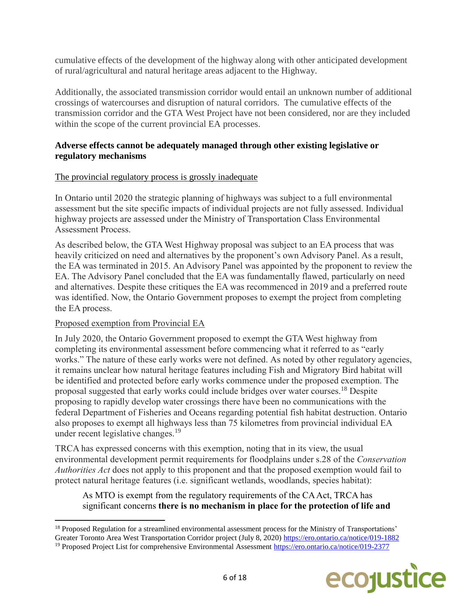cumulative effects of the development of the highway along with other anticipated development of rural/agricultural and natural heritage areas adjacent to the Highway.

Additionally, the associated transmission corridor would entail an unknown number of additional crossings of watercourses and disruption of natural corridors. The cumulative effects of the transmission corridor and the GTA West Project have not been considered, nor are they included within the scope of the current provincial EA processes.

# **Adverse effects cannot be adequately managed through other existing legislative or regulatory mechanisms**

# The provincial regulatory process is grossly inadequate

In Ontario until 2020 the strategic planning of highways was subject to a full environmental assessment but the site specific impacts of individual projects are not fully assessed. Individual highway projects are assessed under the Ministry of Transportation Class Environmental Assessment Process.

As described below, the GTA West Highway proposal was subject to an EA process that was heavily criticized on need and alternatives by the proponent's own Advisory Panel. As a result, the EA was terminated in 2015. An Advisory Panel was appointed by the proponent to review the EA. The Advisory Panel concluded that the EA was fundamentally flawed, particularly on need and alternatives. Despite these critiques the EA was recommenced in 2019 and a preferred route was identified. Now, the Ontario Government proposes to exempt the project from completing the EA process.

## Proposed exemption from Provincial EA

 $\overline{\phantom{a}}$ 

In July 2020, the Ontario Government proposed to exempt the GTA West highway from completing its environmental assessment before commencing what it referred to as "early works." The nature of these early works were not defined. As noted by other regulatory agencies, it remains unclear how natural heritage features including Fish and Migratory Bird habitat will be identified and protected before early works commence under the proposed exemption. The proposal suggested that early works could include bridges over water courses.<sup>18</sup> Despite proposing to rapidly develop water crossings there have been no communications with the federal Department of Fisheries and Oceans regarding potential fish habitat destruction. Ontario also proposes to exempt all highways less than 75 kilometres from provincial individual EA under recent legislative changes.<sup>19</sup>

TRCA has expressed concerns with this exemption, noting that in its view, the usual environmental development permit requirements for floodplains under s.28 of the *Conservation Authorities Act* does not apply to this proponent and that the proposed exemption would fail to protect natural heritage features (i.e. significant wetlands, woodlands, species habitat):

## As MTO is exempt from the regulatory requirements of the CA Act, TRCA has significant concerns **there is no mechanism in place for the protection of life and**

<sup>&</sup>lt;sup>19</sup> Proposed Project List for comprehensive Environmental Assessment<https://ero.ontario.ca/notice/019-2377>



<sup>&</sup>lt;sup>18</sup> Proposed Regulation for a streamlined environmental assessment process for the Ministry of Transportations' Greater Toronto Area West Transportation Corridor project (July 8, 2020)<https://ero.ontario.ca/notice/019-1882>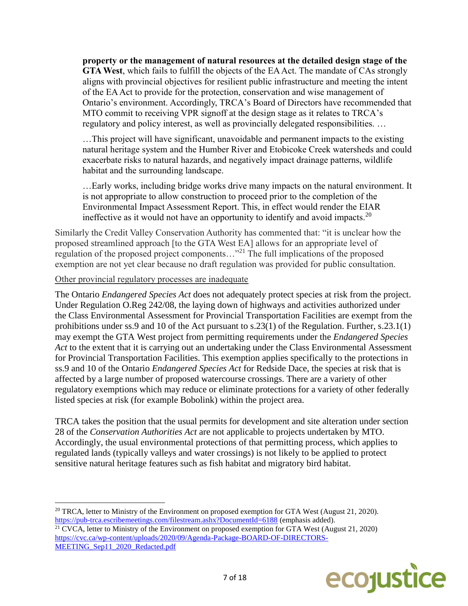**property or the management of natural resources at the detailed design stage of the GTA West**, which fails to fulfill the objects of the EA Act. The mandate of CAs strongly aligns with provincial objectives for resilient public infrastructure and meeting the intent of the EA Act to provide for the protection, conservation and wise management of Ontario's environment. Accordingly, TRCA's Board of Directors have recommended that MTO commit to receiving VPR signoff at the design stage as it relates to TRCA's regulatory and policy interest, as well as provincially delegated responsibilities. …

…This project will have significant, unavoidable and permanent impacts to the existing natural heritage system and the Humber River and Etobicoke Creek watersheds and could exacerbate risks to natural hazards, and negatively impact drainage patterns, wildlife habitat and the surrounding landscape.

…Early works, including bridge works drive many impacts on the natural environment. It is not appropriate to allow construction to proceed prior to the completion of the Environmental Impact Assessment Report. This, in effect would render the EIAR ineffective as it would not have an opportunity to identify and avoid impacts.<sup>20</sup>

Similarly the Credit Valley Conservation Authority has commented that: "it is unclear how the proposed streamlined approach [to the GTA West EA] allows for an appropriate level of regulation of the proposed project components..."<sup>21</sup> The full implications of the proposed exemption are not yet clear because no draft regulation was provided for public consultation.

#### Other provincial regulatory processes are inadequate

The Ontario *Endangered Species Act* does not adequately protect species at risk from the project. Under Regulation O.Reg 242/08, the laying down of highways and activities authorized under the Class Environmental Assessment for Provincial Transportation Facilities are exempt from the prohibitions under ss.9 and 10 of the Act pursuant to s.23(1) of the Regulation. Further, s.23.1(1) may exempt the GTA West project from permitting requirements under the *Endangered Species Act* to the extent that it is carrying out an undertaking under the Class Environmental Assessment for Provincial Transportation Facilities. This exemption applies specifically to the protections in ss.9 and 10 of the Ontario *Endangered Species Act* for Redside Dace, the species at risk that is affected by a large number of proposed watercourse crossings. There are a variety of other regulatory exemptions which may reduce or eliminate protections for a variety of other federally listed species at risk (for example Bobolink) within the project area.

TRCA takes the position that the usual permits for development and site alteration under section 28 of the *Conservation Authorities Act* are not applicable to projects undertaken by MTO. Accordingly, the usual environmental protections of that permitting process, which applies to regulated lands (typically valleys and water crossings) is not likely to be applied to protect sensitive natural heritage features such as fish habitat and migratory bird habitat.

 $\overline{a}$ <sup>20</sup> TRCA, letter to Ministry of the Environment on proposed exemption for GTA West (August 21, 2020). <https://pub-trca.escribemeetings.com/filestream.ashx?DocumentId=6188> (emphasis added). <sup>21</sup> CVCA, letter to Ministry of the Environment on proposed exemption for GTA West (August 21, 2020) [https://cvc.ca/wp-content/uploads/2020/09/Agenda-Package-BOARD-OF-DIRECTORS-](https://cvc.ca/wp-content/uploads/2020/09/Agenda-Package-BOARD-OF-DIRECTORS-MEETING_Sep11_2020_Redacted.pdf)MEETING Sep11\_2020\_Redacted.pdf

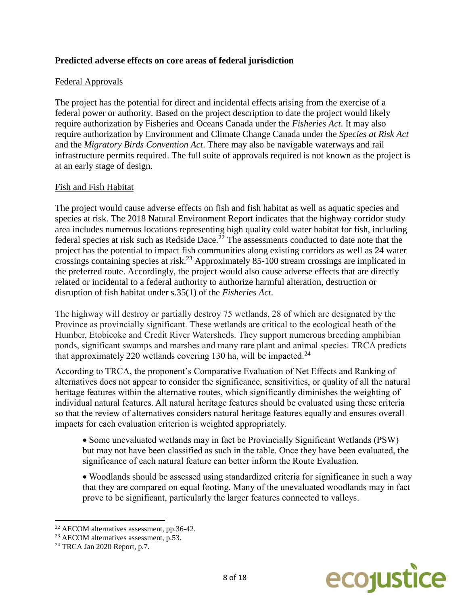## **Predicted adverse effects on core areas of federal jurisdiction**

#### Federal Approvals

The project has the potential for direct and incidental effects arising from the exercise of a federal power or authority. Based on the project description to date the project would likely require authorization by Fisheries and Oceans Canada under the *Fisheries Act*. It may also require authorization by Environment and Climate Change Canada under the *Species at Risk Act*  and the *Migratory Birds Convention Act*. There may also be navigable waterways and rail infrastructure permits required. The full suite of approvals required is not known as the project is at an early stage of design.

#### Fish and Fish Habitat

The project would cause adverse effects on fish and fish habitat as well as aquatic species and species at risk. The 2018 Natural Environment Report indicates that the highway corridor study area includes numerous locations representing high quality cold water habitat for fish, including federal species at risk such as Redside Dace.<sup>22</sup> The assessments conducted to date note that the project has the potential to impact fish communities along existing corridors as well as 24 water crossings containing species at risk.<sup>23</sup> Approximately 85-100 stream crossings are implicated in the preferred route. Accordingly, the project would also cause adverse effects that are directly related or incidental to a federal authority to authorize harmful alteration, destruction or disruption of fish habitat under s.35(1) of the *Fisheries Act*.

The highway will destroy or partially destroy 75 wetlands, 28 of which are designated by the Province as provincially significant. These wetlands are critical to the ecological heath of the Humber, Etobicoke and Credit River Watersheds. They support numerous breeding amphibian ponds, significant swamps and marshes and many rare plant and animal species. TRCA predicts that approximately 220 wetlands covering 130 ha, will be impacted.<sup>24</sup>

According to TRCA, the proponent's Comparative Evaluation of Net Effects and Ranking of alternatives does not appear to consider the significance, sensitivities, or quality of all the natural heritage features within the alternative routes, which significantly diminishes the weighting of individual natural features. All natural heritage features should be evaluated using these criteria so that the review of alternatives considers natural heritage features equally and ensures overall impacts for each evaluation criterion is weighted appropriately.

- Some unevaluated wetlands may in fact be Provincially Significant Wetlands (PSW) but may not have been classified as such in the table. Once they have been evaluated, the significance of each natural feature can better inform the Route Evaluation.
- Woodlands should be assessed using standardized criteria for significance in such a way that they are compared on equal footing. Many of the unevaluated woodlands may in fact prove to be significant, particularly the larger features connected to valleys.



<sup>22</sup> AECOM alternatives assessment, pp.36-42.

 $23$  AECOM alternatives assessment, p.53.

<sup>24</sup> TRCA Jan 2020 Report, p.7.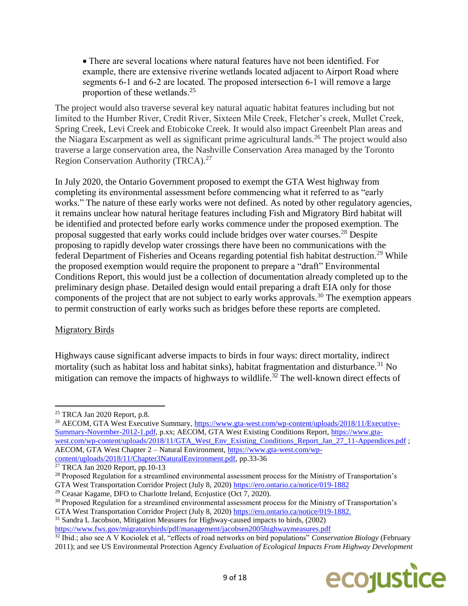There are several locations where natural features have not been identified. For example, there are extensive riverine wetlands located adjacent to Airport Road where segments 6-1 and 6-2 are located. The proposed intersection 6-1 will remove a large proportion of these wetlands.<sup>25</sup>

The project would also traverse several key natural aquatic habitat features including but not limited to the Humber River, Credit River, Sixteen Mile Creek, Fletcher's creek, Mullet Creek, Spring Creek, Levi Creek and Etobicoke Creek. It would also impact Greenbelt Plan areas and the Niagara Escarpment as well as significant prime agricultural lands.<sup>26</sup> The project would also traverse a large conservation area, the Nashville Conservation Area managed by the Toronto Region Conservation Authority (TRCA).<sup>27</sup>

In July 2020, the Ontario Government proposed to exempt the GTA West highway from completing its environmental assessment before commencing what it referred to as "early works." The nature of these early works were not defined. As noted by other regulatory agencies, it remains unclear how natural heritage features including Fish and Migratory Bird habitat will be identified and protected before early works commence under the proposed exemption. The proposal suggested that early works could include bridges over water courses.<sup>28</sup> Despite proposing to rapidly develop water crossings there have been no communications with the federal Department of Fisheries and Oceans regarding potential fish habitat destruction.<sup>29</sup> While the proposed exemption would require the proponent to prepare a "draft" Environmental Conditions Report, this would just be a collection of documentation already completed up to the preliminary design phase. Detailed design would entail preparing a draft EIA only for those components of the project that are not subject to early works approvals.<sup>30</sup> The exemption appears to permit construction of early works such as bridges before these reports are completed.

## Migratory Birds

 $\overline{\phantom{a}}$ 

Highways cause significant adverse impacts to birds in four ways: direct mortality, indirect mortality (such as habitat loss and habitat sinks), habitat fragmentation and disturbance.<sup>31</sup> No mitigation can remove the impacts of highways to wildlife.<sup>32</sup> The well-known direct effects of

<sup>31</sup> Sandra L Jacobson, Mitigation Measures for Highway-caused impacts to birds, (2002)

<sup>&</sup>lt;sup>32</sup> Ibid.; also see A V Kociolek et al, "effects of road networks on bird populations" *Conservation Biology* (February 2011); and see US Environmental Protection Agency *Evaluation of Ecological Impacts From Highway Development* 



 $25$  TRCA Jan 2020 Report, p.8.

<sup>&</sup>lt;sup>26</sup> AECOM, GTA West Executive Summary, [https://www.gta-west.com/wp-content/uploads/2018/11/Executive-](https://www.gta-west.com/wp-content/uploads/2018/11/Executive-Summary-November-2012-1.pdf)[Summary-November-2012-1.pdf,](https://www.gta-west.com/wp-content/uploads/2018/11/Executive-Summary-November-2012-1.pdf) p.xx; AECOM, GTA West Existing Conditions Report, [https://www.gta](https://www.gta-west.com/wp-content/uploads/2018/11/GTA_West_Env_Existing_Conditions_Report_Jan_27_11-Appendices.pdf)[west.com/wp-content/uploads/2018/11/GTA\\_West\\_Env\\_Existing\\_Conditions\\_Report\\_Jan\\_27\\_11-Appendices.pdf](https://www.gta-west.com/wp-content/uploads/2018/11/GTA_West_Env_Existing_Conditions_Report_Jan_27_11-Appendices.pdf) ; AECOM, GTA West Chapter 2 – Natural Environment, [https://www.gta-west.com/wp](https://www.gta-west.com/wp-content/uploads/2018/11/Chapter3NaturalEnvironment.pdf)[content/uploads/2018/11/Chapter3NaturalEnvironment.pdf,](https://www.gta-west.com/wp-content/uploads/2018/11/Chapter3NaturalEnvironment.pdf) pp.33-36

 $27$  TRCA Jan 2020 Report, pp.10-13

<sup>&</sup>lt;sup>28</sup> Proposed Regulation for a streamlined environmental assessment process for the Ministry of Transportation's GTA West Transportation Corridor Project (July 8, 2020)<https://ero.ontario.ca/notice/019-1882>

 $29$  Ceasar Kagame, DFO to Charlotte Ireland, Ecojustice (Oct 7, 2020).

<sup>30</sup> Proposed Regulation for a streamlined environmental assessment process for the Ministry of Transportation's GTA West Transportation Corridor Project (July 8, 2020) [https://ero.ontario.ca/notice/019-1882.](https://ero.ontario.ca/notice/019-1882)

<https://www.fws.gov/migratorybirds/pdf/management/jacobsen2005highwaymeasures.pdf>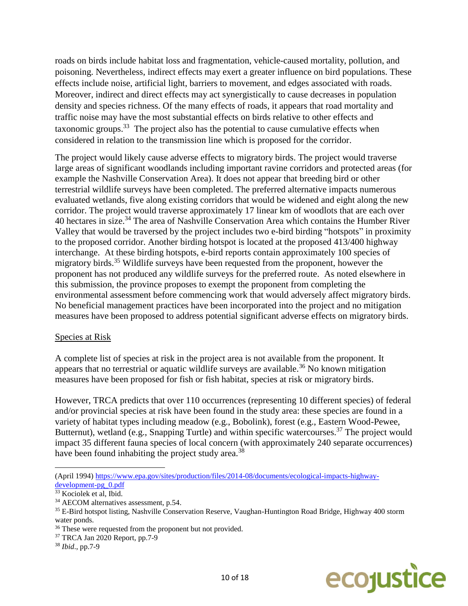roads on birds include habitat loss and fragmentation, vehicle-caused mortality, pollution, and poisoning. Nevertheless, indirect effects may exert a greater influence on bird populations. These effects include noise, artificial light, barriers to movement, and edges associated with roads. Moreover, indirect and direct effects may act synergistically to cause decreases in population density and species richness. Of the many effects of roads, it appears that road mortality and traffic noise may have the most substantial effects on birds relative to other effects and taxonomic groups.<sup>33</sup> The project also has the potential to cause cumulative effects when considered in relation to the transmission line which is proposed for the corridor.

The project would likely cause adverse effects to migratory birds. The project would traverse large areas of significant woodlands including important ravine corridors and protected areas (for example the Nashville Conservation Area). It does not appear that breeding bird or other terrestrial wildlife surveys have been completed. The preferred alternative impacts numerous evaluated wetlands, five along existing corridors that would be widened and eight along the new corridor. The project would traverse approximately 17 linear km of woodlots that are each over 40 hectares in size.<sup>34</sup> The area of Nashville Conservation Area which contains the Humber River Valley that would be traversed by the project includes two e-bird birding "hotspots" in proximity to the proposed corridor. Another birding hotspot is located at the proposed 413/400 highway interchange. At these birding hotspots, e-bird reports contain approximately 100 species of migratory birds.<sup>35</sup> Wildlife surveys have been requested from the proponent, however the proponent has not produced any wildlife surveys for the preferred route. As noted elsewhere in this submission, the province proposes to exempt the proponent from completing the environmental assessment before commencing work that would adversely affect migratory birds. No beneficial management practices have been incorporated into the project and no mitigation measures have been proposed to address potential significant adverse effects on migratory birds.

#### Species at Risk

A complete list of species at risk in the project area is not available from the proponent. It appears that no terrestrial or aquatic wildlife surveys are available.<sup>36</sup> No known mitigation measures have been proposed for fish or fish habitat, species at risk or migratory birds.

However, TRCA predicts that over 110 occurrences (representing 10 different species) of federal and/or provincial species at risk have been found in the study area: these species are found in a variety of habitat types including meadow (e.g., Bobolink), forest (e.g., Eastern Wood-Pewee, Butternut), wetland (e.g., Snapping Turtle) and within specific watercourses.<sup>37</sup> The project would impact 35 different fauna species of local concern (with approximately 240 separate occurrences) have been found inhabiting the project study area.<sup>38</sup>



 $\overline{\phantom{a}}$ (April 1994) [https://www.epa.gov/sites/production/files/2014-08/documents/ecological-impacts-highway](https://www.epa.gov/sites/production/files/2014-08/documents/ecological-impacts-highway-development-pg_0.pdf)[development-pg\\_0.pdf](https://www.epa.gov/sites/production/files/2014-08/documents/ecological-impacts-highway-development-pg_0.pdf)

<sup>33</sup> Kociolek et al, Ibid.

<sup>34</sup> AECOM alternatives assessment, p.54.

<sup>35</sup> E-Bird hotspot listing, Nashville Conservation Reserve, Vaughan-Huntington Road Bridge, Highway 400 storm water ponds.

<sup>&</sup>lt;sup>36</sup> These were requested from the proponent but not provided.

<sup>37</sup> TRCA Jan 2020 Report, pp.7-9

<sup>38</sup> *Ibid*., pp.7-9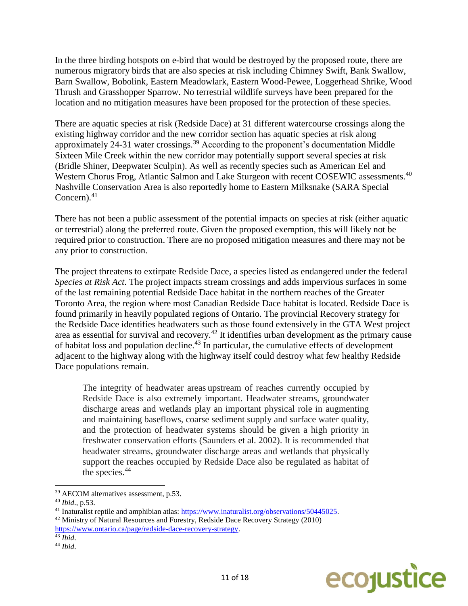In the three birding hotspots on e-bird that would be destroyed by the proposed route, there are numerous migratory birds that are also species at risk including Chimney Swift, Bank Swallow, Barn Swallow, Bobolink, Eastern Meadowlark, Eastern Wood-Pewee, Loggerhead Shrike, Wood Thrush and Grasshopper Sparrow. No terrestrial wildlife surveys have been prepared for the location and no mitigation measures have been proposed for the protection of these species.

There are aquatic species at risk (Redside Dace) at 31 different watercourse crossings along the existing highway corridor and the new corridor section has aquatic species at risk along approximately 24-31 water crossings.<sup>39</sup> According to the proponent's documentation Middle Sixteen Mile Creek within the new corridor may potentially support several species at risk (Bridle Shiner, Deepwater Sculpin). As well as recently species such as American Eel and Western Chorus Frog, Atlantic Salmon and Lake Sturgeon with recent COSEWIC assessments.<sup>40</sup> Nashville Conservation Area is also reportedly home to Eastern Milksnake (SARA Special Concern). $41$ 

There has not been a public assessment of the potential impacts on species at risk (either aquatic or terrestrial) along the preferred route. Given the proposed exemption, this will likely not be required prior to construction. There are no proposed mitigation measures and there may not be any prior to construction.

The project threatens to extirpate Redside Dace, a species listed as endangered under the federal *Species at Risk Act*. The project impacts stream crossings and adds impervious surfaces in some of the last remaining potential Redside Dace habitat in the northern reaches of the Greater Toronto Area, the region where most Canadian Redside Dace habitat is located. Redside Dace is found primarily in heavily populated regions of Ontario. The provincial Recovery strategy for the Redside Dace identifies headwaters such as those found extensively in the GTA West project area as essential for survival and recovery.<sup>42</sup> It identifies urban development as the primary cause of habitat loss and population decline.<sup>43</sup> In particular, the cumulative effects of development adjacent to the highway along with the highway itself could destroy what few healthy Redside Dace populations remain.

The integrity of headwater areas upstream of reaches currently occupied by Redside Dace is also extremely important. Headwater streams, groundwater discharge areas and wetlands play an important physical role in augmenting and maintaining baseflows, coarse sediment supply and surface water quality, and the protection of headwater systems should be given a high priority in freshwater conservation efforts (Saunders et al. 2002). It is recommended that headwater streams, groundwater discharge areas and wetlands that physically support the reaches occupied by Redside Dace also be regulated as habitat of the species.<sup>44</sup>



<sup>39</sup> AECOM alternatives assessment, p.53.

<sup>40</sup> *Ibid*., p.53.

<sup>41</sup> Inaturalist reptile and amphibian atlas: [https://www.inaturalist.org/observations/50445025.](https://www.inaturalist.org/observations/50445025)

<sup>&</sup>lt;sup>42</sup> Ministry of Natural Resources and Forestry, Redside Dace Recovery Strategy (2010)

[https://www.ontario.ca/page/redside-dace-recovery-strategy.](https://www.ontario.ca/page/redside-dace-recovery-strategy)

<sup>43</sup> *Ibid*.

<sup>44</sup> *Ibid*.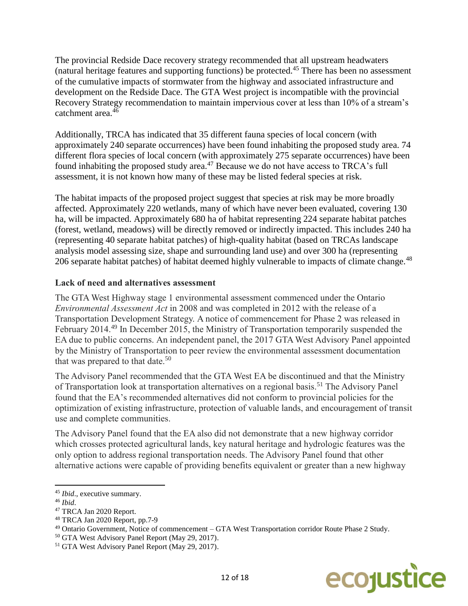The provincial Redside Dace recovery strategy recommended that all upstream headwaters (natural heritage features and supporting functions) be protected.<sup>45</sup> There has been no assessment of the cumulative impacts of stormwater from the highway and associated infrastructure and development on the Redside Dace. The GTA West project is incompatible with the provincial Recovery Strategy recommendation to maintain impervious cover at less than 10% of a stream's catchment area.<sup>46</sup>

Additionally, TRCA has indicated that 35 different fauna species of local concern (with approximately 240 separate occurrences) have been found inhabiting the proposed study area. 74 different flora species of local concern (with approximately 275 separate occurrences) have been found inhabiting the proposed study area.<sup>47</sup> Because we do not have access to TRCA's full assessment, it is not known how many of these may be listed federal species at risk.

The habitat impacts of the proposed project suggest that species at risk may be more broadly affected. Approximately 220 wetlands, many of which have never been evaluated, covering 130 ha, will be impacted. Approximately 680 ha of habitat representing 224 separate habitat patches (forest, wetland, meadows) will be directly removed or indirectly impacted. This includes 240 ha (representing 40 separate habitat patches) of high-quality habitat (based on TRCAs landscape analysis model assessing size, shape and surrounding land use) and over 300 ha (representing 206 separate habitat patches) of habitat deemed highly vulnerable to impacts of climate change.<sup>48</sup>

#### **Lack of need and alternatives assessment**

The GTA West Highway stage 1 environmental assessment commenced under the Ontario *Environmental Assessment Act* in 2008 and was completed in 2012 with the release of a Transportation Development Strategy. A notice of commencement for Phase 2 was released in February 2014.<sup>49</sup> In December 2015, the Ministry of Transportation temporarily suspended the EA due to public concerns. An independent panel, the 2017 GTA West Advisory Panel appointed by the Ministry of Transportation to peer review the environmental assessment documentation that was prepared to that date.<sup>50</sup>

The Advisory Panel recommended that the GTA West EA be discontinued and that the Ministry of Transportation look at transportation alternatives on a regional basis.<sup>51</sup> The Advisory Panel found that the EA's recommended alternatives did not conform to provincial policies for the optimization of existing infrastructure, protection of valuable lands, and encouragement of transit use and complete communities.

The Advisory Panel found that the EA also did not demonstrate that a new highway corridor which crosses protected agricultural lands, key natural heritage and hydrologic features was the only option to address regional transportation needs. The Advisory Panel found that other alternative actions were capable of providing benefits equivalent or greater than a new highway



<sup>45</sup> *Ibid*., executive summary.

<sup>46</sup> *Ibid*.

<sup>47</sup> TRCA Jan 2020 Report.

<sup>48</sup> TRCA Jan 2020 Report, pp.7-9

<sup>49</sup> Ontario Government, Notice of commencement – GTA West Transportation corridor Route Phase 2 Study.

<sup>50</sup> GTA West Advisory Panel Report (May 29, 2017).

<sup>51</sup> GTA West Advisory Panel Report (May 29, 2017).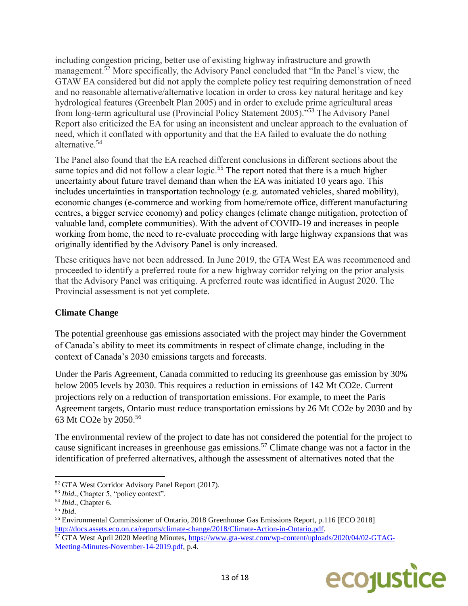including congestion pricing, better use of existing highway infrastructure and growth management.<sup>52</sup> More specifically, the Advisory Panel concluded that "In the Panel's view, the GTAW EA considered but did not apply the complete policy test requiring demonstration of need and no reasonable alternative/alternative location in order to cross key natural heritage and key hydrological features (Greenbelt Plan 2005) and in order to exclude prime agricultural areas from long-term agricultural use (Provincial Policy Statement 2005)."<sup>53</sup> The Advisory Panel Report also criticized the EA for using an inconsistent and unclear approach to the evaluation of need, which it conflated with opportunity and that the EA failed to evaluate the do nothing alternative.<sup>54</sup>

The Panel also found that the EA reached different conclusions in different sections about the same topics and did not follow a clear logic.<sup>55</sup> The report noted that there is a much higher uncertainty about future travel demand than when the EA was initiated 10 years ago. This includes uncertainties in transportation technology (e.g. automated vehicles, shared mobility), economic changes (e-commerce and working from home/remote office, different manufacturing centres, a bigger service economy) and policy changes (climate change mitigation, protection of valuable land, complete communities). With the advent of COVID-19 and increases in people working from home, the need to re-evaluate proceeding with large highway expansions that was originally identified by the Advisory Panel is only increased.

These critiques have not been addressed. In June 2019, the GTA West EA was recommenced and proceeded to identify a preferred route for a new highway corridor relying on the prior analysis that the Advisory Panel was critiquing. A preferred route was identified in August 2020. The Provincial assessment is not yet complete.

## **Climate Change**

The potential greenhouse gas emissions associated with the project may hinder the Government of Canada's ability to meet its commitments in respect of climate change, including in the context of Canada's 2030 emissions targets and forecasts.

Under the Paris Agreement, Canada committed to reducing its greenhouse gas emission by 30% below 2005 levels by 2030. This requires a reduction in emissions of 142 Mt CO2e. Current projections rely on a reduction of transportation emissions. For example, to meet the Paris Agreement targets, Ontario must reduce transportation emissions by 26 Mt CO2e by 2030 and by 63 Mt CO2e by 2050.<sup>56</sup>

The environmental review of the project to date has not considered the potential for the project to cause significant increases in greenhouse gas emissions. <sup>57</sup> Climate change was not a factor in the identification of preferred alternatives, although the assessment of alternatives noted that the

<sup>&</sup>lt;sup>57</sup> GTA West April 2020 Meeting Minutes, [https://www.gta-west.com/wp-content/uploads/2020/04/02-GTAG-](https://www.gta-west.com/wp-content/uploads/2020/04/02-GTAG-Meeting-Minutes-November-14-2019.pdf)[Meeting-Minutes-November-14-2019.pdf,](https://www.gta-west.com/wp-content/uploads/2020/04/02-GTAG-Meeting-Minutes-November-14-2019.pdf) p.4.



 $\overline{a}$ <sup>52</sup> GTA West Corridor Advisory Panel Report (2017).

<sup>53</sup> *Ibid*., Chapter 5, "policy context".

<sup>54</sup> *Ibid*., Chapter 6.

<sup>55</sup> *Ibid*.

<sup>56</sup> Environmental Commissioner of Ontario, 2018 Greenhouse Gas Emissions Report, p.116 [ECO 2018] [http://docs.assets.eco.on.ca/reports/climate-change/2018/Climate-Action-in-Ontario.pdf.](http://docs.assets.eco.on.ca/reports/climate-change/2018/Climate-Action-in-Ontario.pdf)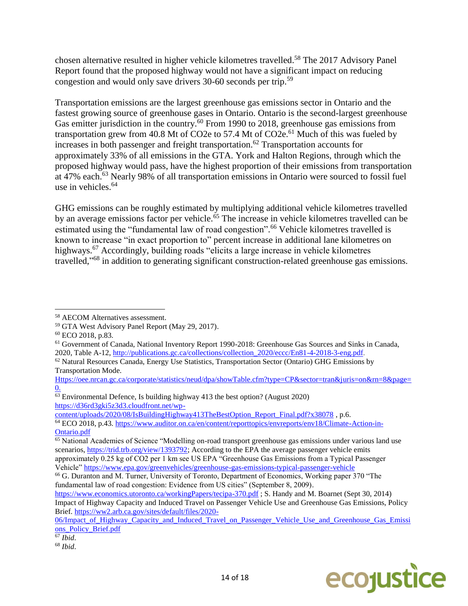chosen alternative resulted in higher vehicle kilometres travelled. <sup>58</sup> The 2017 Advisory Panel Report found that the proposed highway would not have a significant impact on reducing congestion and would only save drivers 30-60 seconds per trip.<sup>59</sup>

Transportation emissions are the largest greenhouse gas emissions sector in Ontario and the fastest growing source of greenhouse gases in Ontario. Ontario is the second-largest greenhouse Gas emitter jurisdiction in the country.<sup>60</sup> From 1990 to 2018, greenhouse gas emissions from transportation grew from 40.8 Mt of CO2e to 57.4 Mt of CO2e.<sup>61</sup> Much of this was fueled by increases in both passenger and freight transportation.<sup>62</sup> Transportation accounts for approximately 33% of all emissions in the GTA. York and Halton Regions, through which the proposed highway would pass, have the highest proportion of their emissions from transportation at 47% each.<sup>63</sup> Nearly 98% of all transportation emissions in Ontario were sourced to fossil fuel use in vehicles.<sup>64</sup>

GHG emissions can be roughly estimated by multiplying additional vehicle kilometres travelled by an average emissions factor per vehicle.<sup>65</sup> The increase in vehicle kilometres travelled can be estimated using the "fundamental law of road congestion".<sup>66</sup> Vehicle kilometres travelled is known to increase "in exact proportion to" percent increase in additional lane kilometres on highways.<sup>67</sup> Accordingly, building roads "elicits a large increase in vehicle kilometres travelled,"<sup>68</sup> in addition to generating significant construction-related greenhouse gas emissions.

l

[content/uploads/2020/08/IsBuildingHighway413TheBestOption\\_Report\\_Final.pdf?x38078](https://d36rd3gki5z3d3.cloudfront.net/wp-content/uploads/2020/08/IsBuildingHighway413TheBestOption_Report_Final.pdf?x38078) , p.6.

Vehicle" <https://www.epa.gov/greenvehicles/greenhouse-gas-emissions-typical-passenger-vehicle>



<sup>58</sup> AECOM Alternatives assessment.

<sup>59</sup> GTA West Advisory Panel Report (May 29, 2017).

<sup>60</sup> ECO 2018, p.83.

<sup>61</sup> Government of Canada, National Inventory Report 1990-2018: Greenhouse Gas Sources and Sinks in Canada, 2020, Table A-12, [http://publications.gc.ca/collections/collection\\_2020/eccc/En81-4-2018-3-eng.pdf.](http://publications.gc.ca/collections/collection_2020/eccc/En81-4-2018-3-eng.pdf)

 $62$  Natural Resources Canada, Energy Use Statistics, Transportation Sector (Ontario) GHG Emissions by Transportation Mode.

[Https://oee.nrcan.gc.ca/corporate/statistics/neud/dpa/showTable.cfm?type=CP&sector=tran&juris=on&rn=8&page=](https://oee.nrcan.gc.ca/corporate/statistics/neud/dpa/showTable.cfm?type=CP§or=tran&juris=on&rn=8&page=0) [0.](https://oee.nrcan.gc.ca/corporate/statistics/neud/dpa/showTable.cfm?type=CP§or=tran&juris=on&rn=8&page=0)

<sup>63</sup> Environmental Defence, Is building highway 413 the best option? (August 2020) [https://d36rd3gki5z3d3.cloudfront.net/wp-](https://d36rd3gki5z3d3.cloudfront.net/wp-content/uploads/2020/08/IsBuildingHighway413TheBestOption_Report_Final.pdf?x38078)

<sup>64</sup> ECO 2018, p.43. [https://www.auditor.on.ca/en/content/reporttopics/envreports/env18/Climate-Action-in-](https://www.auditor.on.ca/en/content/reporttopics/envreports/env18/Climate-Action-in-Ontario.pdf)[Ontario.pdf](https://www.auditor.on.ca/en/content/reporttopics/envreports/env18/Climate-Action-in-Ontario.pdf)

<sup>&</sup>lt;sup>65</sup> National Academies of Science "Modelling on-road transport greenhouse gas emissions under various land use scenarios, [https://trid.trb.org/view/1393792;](https://trid.trb.org/view/1393792) According to the EPA the average passenger vehicle emits approximately 0.25 kg of CO2 per 1 km see US EPA "Greenhouse Gas Emissions from a Typical Passenger

<sup>&</sup>lt;sup>66</sup> G. Duranton and M. Turner, University of Toronto, Department of Economics, Working paper 370 "The fundamental law of road congestion: Evidence from US cities" (September 8, 2009).

<https://www.economics.utoronto.ca/workingPapers/tecipa-370.pdf> ; S. Handy and M. Boarnet (Sept 30, 2014) Impact of Highway Capacity and Induced Travel on Passenger Vehicle Use and Greenhouse Gas Emissions, Policy Brief. [https://ww2.arb.ca.gov/sites/default/files/2020-](https://ww2.arb.ca.gov/sites/default/files/2020-06/Impact_of_Highway_Capacity_and_Induced_Travel_on_Passenger_Vehicle_Use_and_Greenhouse_Gas_Emissions_Policy_Brief.pdf)

<sup>06/</sup>Impact of Highway Capacity and Induced Travel on Passenger Vehicle Use and Greenhouse Gas Emissi [ons\\_Policy\\_Brief.pdf](https://ww2.arb.ca.gov/sites/default/files/2020-06/Impact_of_Highway_Capacity_and_Induced_Travel_on_Passenger_Vehicle_Use_and_Greenhouse_Gas_Emissions_Policy_Brief.pdf)

<sup>67</sup> *Ibid*.

<sup>68</sup> *Ibid*.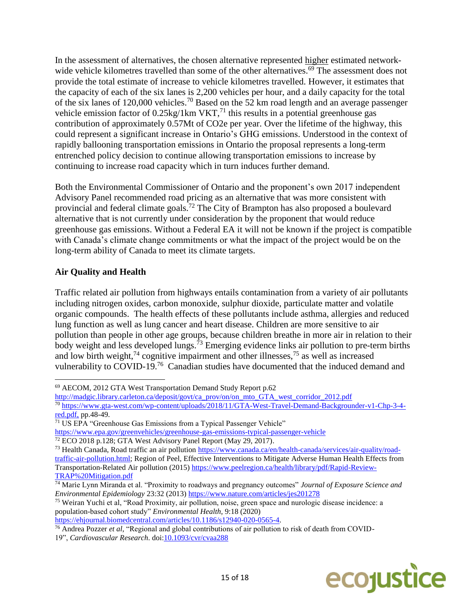In the assessment of alternatives, the chosen alternative represented higher estimated networkwide vehicle kilometres travelled than some of the other alternatives.<sup>69</sup> The assessment does not provide the total estimate of increase to vehicle kilometres travelled. However, it estimates that the capacity of each of the six lanes is 2,200 vehicles per hour, and a daily capacity for the total of the six lanes of 120,000 vehicles.<sup>70</sup> Based on the 52 km road length and an average passenger vehicle emission factor of  $0.25\text{kg}/\text{1km}$  VKT,<sup>71</sup> this results in a potential greenhouse gas contribution of approximately 0.57Mt of CO2e per year. Over the lifetime of the highway, this could represent a significant increase in Ontario's GHG emissions. Understood in the context of rapidly ballooning transportation emissions in Ontario the proposal represents a long-term entrenched policy decision to continue allowing transportation emissions to increase by continuing to increase road capacity which in turn induces further demand.

Both the Environmental Commissioner of Ontario and the proponent's own 2017 independent Advisory Panel recommended road pricing as an alternative that was more consistent with provincial and federal climate goals.<sup>72</sup> The City of Brampton has also proposed a boulevard alternative that is not currently under consideration by the proponent that would reduce greenhouse gas emissions. Without a Federal EA it will not be known if the project is compatible with Canada's climate change commitments or what the impact of the project would be on the long-term ability of Canada to meet its climate targets.

# **Air Quality and Health**

Traffic related air pollution from highways entails contamination from a variety of air pollutants including nitrogen oxides, carbon monoxide, sulphur dioxide, particulate matter and volatile organic compounds. The health effects of these pollutants include asthma, allergies and reduced lung function as well as lung cancer and heart disease. Children are more sensitive to air pollution than people in other age groups, because children breathe in more air in relation to their body weight and less developed lungs.<sup> $73$ </sup> Emerging evidence links air pollution to pre-term births and low birth weight,<sup>74</sup> cognitive impairment and other illnesses,<sup>75</sup> as well as increased vulnerability to COVID-19.<sup>76</sup> Canadian studies have documented that the induced demand and

[http://madgic.library.carleton.ca/deposit/govt/ca\\_prov/on/on\\_mto\\_GTA\\_west\\_corridor\\_2012.pdf](http://madgic.library.carleton.ca/deposit/govt/ca_prov/on/on_mto_GTA_west_corridor_2012.pdf)

[https://ehjournal.biomedcentral.com/articles/10.1186/s12940-020-0565-4.](https://ehjournal.biomedcentral.com/articles/10.1186/s12940-020-0565-4)



 $\overline{\phantom{a}}$ <sup>69</sup> AECOM, 2012 GTA West Transportation Demand Study Report p.62

<sup>70</sup> [https://www.gta-west.com/wp-content/uploads/2018/11/GTA-West-Travel-Demand-Backgrounder-v1-Chp-3-4](https://www.gta-west.com/wp-content/uploads/2018/11/GTA-West-Travel-Demand-Backgrounder-v1-Chp-3-4-red.pdf) [red.pdf,](https://www.gta-west.com/wp-content/uploads/2018/11/GTA-West-Travel-Demand-Backgrounder-v1-Chp-3-4-red.pdf) pp.48-49.

<sup>&</sup>lt;sup>71</sup> US EPA "Greenhouse Gas Emissions from a Typical Passenger Vehicle" <https://www.epa.gov/greenvehicles/greenhouse-gas-emissions-typical-passenger-vehicle>

<sup>&</sup>lt;sup>72</sup> ECO 2018 p.128; GTA West Advisory Panel Report (May 29, 2017).

<sup>&</sup>lt;sup>73</sup> Health Canada, Road traffic an air pollution [https://www.canada.ca/en/health-canada/services/air-quality/road](https://www.canada.ca/en/health-canada/services/air-quality/road-traffic-air-pollution.html)[traffic-air-pollution.html;](https://www.canada.ca/en/health-canada/services/air-quality/road-traffic-air-pollution.html) Region of Peel, Effective Interventions to Mitigate Adverse Human Health Effects from Transportation-Related Air pollution (2015) [https://www.peelregion.ca/health/library/pdf/Rapid-Review-](https://www.peelregion.ca/health/library/pdf/Rapid-Review-TRAP%20Mitigation.pdf)[TRAP%20Mitigation.pdf](https://www.peelregion.ca/health/library/pdf/Rapid-Review-TRAP%20Mitigation.pdf)

<sup>74</sup> Marie Lynn Miranda et al. "Proximity to roadways and pregnancy outcomes" *Journal of Exposure Science and Environmental Epidemiology* 23:32 (2013)<https://www.nature.com/articles/jes201278>

<sup>75</sup> Weiran Yuchi et al, "Road Proximity, air pollution, noise, green space and nurologic disease incidence: a population-based cohort study" *Environmental Health,* 9:18 (2020)

<sup>76</sup> Andrea Pozzer *et al*, "Regional and global contributions of air pollution to risk of death from COVID-

<sup>19&</sup>quot;, *Cardiovascular Research*. doi[:10.1093/cvr/cvaa288](https://academic.oup.com/cardiovascres/article-lookup/doi/10.1093/cvr/cvaa288)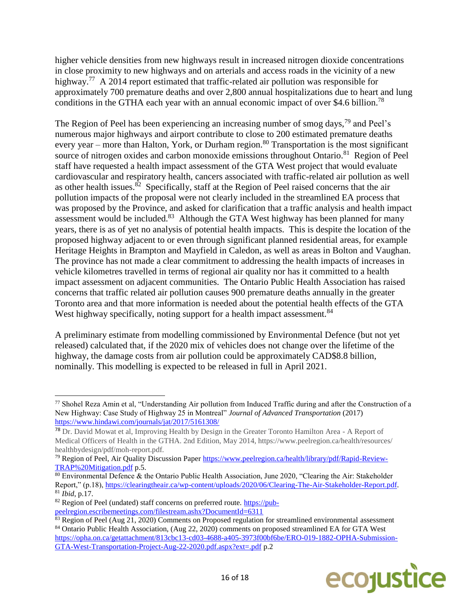higher vehicle densities from new highways result in increased nitrogen dioxide concentrations in close proximity to new highways and on arterials and access roads in the vicinity of a new highway.<sup>77</sup> A 2014 report estimated that traffic-related air pollution was responsible for approximately 700 premature deaths and over 2,800 annual hospitalizations due to heart and lung conditions in the GTHA each year with an annual economic impact of over \$4.6 billion.<sup>78</sup>

The Region of Peel has been experiencing an increasing number of smog days,  $^{79}$  and Peel's numerous major highways and airport contribute to close to 200 estimated premature deaths every year – more than Halton, York, or Durham region.<sup>80</sup> Transportation is the most significant source of nitrogen oxides and carbon monoxide emissions throughout Ontario.<sup>81</sup> Region of Peel staff have requested a health impact assessment of the GTA West project that would evaluate cardiovascular and respiratory health, cancers associated with traffic-related air pollution as well as other health issues.<sup>82</sup> Specifically, staff at the Region of Peel raised concerns that the air pollution impacts of the proposal were not clearly included in the streamlined EA process that was proposed by the Province, and asked for clarification that a traffic analysis and health impact assessment would be included. $83$  Although the GTA West highway has been planned for many years, there is as of yet no analysis of potential health impacts. This is despite the location of the proposed highway adjacent to or even through significant planned residential areas, for example Heritage Heights in Brampton and Mayfield in Caledon, as well as areas in Bolton and Vaughan. The province has not made a clear commitment to addressing the health impacts of increases in vehicle kilometres travelled in terms of regional air quality nor has it committed to a health impact assessment on adjacent communities. The Ontario Public Health Association has raised concerns that traffic related air pollution causes 900 premature deaths annually in the greater Toronto area and that more information is needed about the potential health effects of the GTA West highway specifically, noting support for a health impact assessment.<sup>84</sup>

A preliminary estimate from modelling commissioned by Environmental Defence (but not yet released) calculated that, if the 2020 mix of vehicles does not change over the lifetime of the highway, the damage costs from air pollution could be approximately CAD\$8.8 billion, nominally. This modelling is expected to be released in full in April 2021.

 $83$  Region of Peel (Aug 21, 2020) Comments on Proposed regulation for streamlined environmental assessment <sup>84</sup> Ontario Public Health Association, (Aug 22, 2020) comments on proposed streamlined EA for GTA West [https://opha.on.ca/getattachment/813cbc13-cd03-4688-a405-3973f00bf6be/ERO-019-1882-OPHA-Submission-](https://opha.on.ca/getattachment/813cbc13-cd03-4688-a405-3973f00bf6be/ERO-019-1882-OPHA-Submission-GTA-West-Transportation-Project-Aug-22-2020.pdf.aspx?ext=.pdf)[GTA-West-Transportation-Project-Aug-22-2020.pdf.aspx?ext=.pdf](https://opha.on.ca/getattachment/813cbc13-cd03-4688-a405-3973f00bf6be/ERO-019-1882-OPHA-Submission-GTA-West-Transportation-Project-Aug-22-2020.pdf.aspx?ext=.pdf) p.2



<sup>77</sup> Shohel Reza Amin et al, "Understanding Air pollution from Induced Traffic during and after the Construction of a New Highway: Case Study of Highway 25 in Montreal" *Journal of Advanced Transportation* (2017) <https://www.hindawi.com/journals/jat/2017/5161308/>

<sup>78</sup> Dr. David Mowat et al, Improving Health by Design in the Greater Toronto Hamilton Area - A Report of Medical Officers of Health in the GTHA. 2nd Edition, May 2014, https://www.peelregion.ca/health/resources/ healthbydesign/pdf/moh-report.pdf.

<sup>79</sup> Region of Peel, Air Quality Discussion Paper [https://www.peelregion.ca/health/library/pdf/Rapid-Review-](https://www.peelregion.ca/health/library/pdf/Rapid-Review-TRAP%20Mitigation.pdf)[TRAP%20Mitigation.pdf](https://www.peelregion.ca/health/library/pdf/Rapid-Review-TRAP%20Mitigation.pdf) p.5.

<sup>&</sup>lt;sup>80</sup> Environmental Defence & the Ontario Public Health Association, June 2020, "Clearing the Air: Stakeholder Report," (p.18), [https://clearingtheair.ca/wp-content/uploads/2020/06/Clearing-The-Air-Stakeholder-Report.pdf.](https://clearingtheair.ca/wp-content/uploads/2020/06/Clearing-The-Air-Stakeholder-Report.pdf) <sup>81</sup> *Ibid*, p.17.

 $82$  Region of Peel (undated) staff concerns on preferred route. [https://pub](https://pub-peelregion.escribemeetings.com/filestream.ashx?DocumentId=6311)[peelregion.escribemeetings.com/filestream.ashx?DocumentId=6311](https://pub-peelregion.escribemeetings.com/filestream.ashx?DocumentId=6311)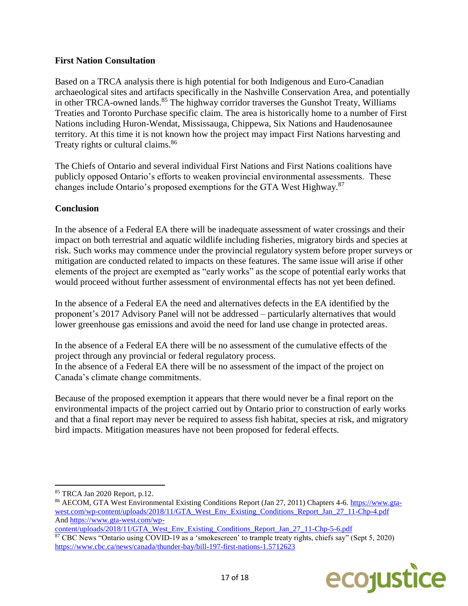# **First Nation Consultation**

Based on a TRCA analysis there is high potential for both Indigenous and Euro-Canadian archaeological sites and artifacts specifically in the Nashville Conservation Area, and potentially in other TRCA-owned lands.<sup>85</sup> The highway corridor traverses the Gunshot Treaty, Williams Treaties and Toronto Purchase specific claim. The area is historically home to a number of First Nations including Huron-Wendat, Mississauga, Chippewa, Six Nations and Haudenosaunee territory. At this time it is not known how the project may impact First Nations harvesting and Treaty rights or cultural claims.<sup>86</sup>

The Chiefs of Ontario and several individual First Nations and First Nations coalitions have publicly opposed Ontario's efforts to weaken provincial environmental assessments. These changes include Ontario's proposed exemptions for the GTA West Highway.<sup>87</sup>

# **Conclusion**

In the absence of a Federal EA there will be inadequate assessment of water crossings and their impact on both terrestrial and aquatic wildlife including fisheries, migratory birds and species at risk. Such works may commence under the provincial regulatory system before proper surveys or mitigation are conducted related to impacts on these features. The same issue will arise if other elements of the project are exempted as "early works" as the scope of potential early works that would proceed without further assessment of environmental effects has not yet been defined.

In the absence of a Federal EA the need and alternatives defects in the EA identified by the proponent's 2017 Advisory Panel will not be addressed – particularly alternatives that would lower greenhouse gas emissions and avoid the need for land use change in protected areas.

In the absence of a Federal EA there will be no assessment of the cumulative effects of the project through any provincial or federal regulatory process. In the absence of a Federal EA there will be no assessment of the impact of the project on Canada's climate change commitments.

Because of the proposed exemption it appears that there would never be a final report on the environmental impacts of the project carried out by Ontario prior to construction of early works and that a final report may never be required to assess fish habitat, species at risk, and migratory bird impacts. Mitigation measures have not been proposed for federal effects.

[content/uploads/2018/11/GTA\\_West\\_Env\\_Existing\\_Conditions\\_Report\\_Jan\\_27\\_11-Chp-5-6.pdf](https://www.gta-west.com/wp-content/uploads/2018/11/GTA_West_Env_Existing_Conditions_Report_Jan_27_11-Chp-5-6.pdf) <sup>87</sup> CBC News "Ontario using COVID-19 as a 'smokescreen' to trample treaty rights, chiefs say" (Sept 5, 2020) <https://www.cbc.ca/news/canada/thunder-bay/bill-197-first-nations-1.5712623>



<sup>85</sup> TRCA Jan 2020 Report, p.12.

<sup>86</sup> AECOM, GTA West Environmental Existing Conditions Report (Jan 27, 2011) Chapters 4-6[. https://www.gta](https://www.gta-west.com/wp-content/uploads/2018/11/GTA_West_Env_Existing_Conditions_Report_Jan_27_11-Chp-4.pdf)[west.com/wp-content/uploads/2018/11/GTA\\_West\\_Env\\_Existing\\_Conditions\\_Report\\_Jan\\_27\\_11-Chp-4.pdf](https://www.gta-west.com/wp-content/uploads/2018/11/GTA_West_Env_Existing_Conditions_Report_Jan_27_11-Chp-4.pdf) An[d https://www.gta-west.com/wp-](https://www.gta-west.com/wp-content/uploads/2018/11/GTA_West_Env_Existing_Conditions_Report_Jan_27_11-Chp-5-6.pdf)